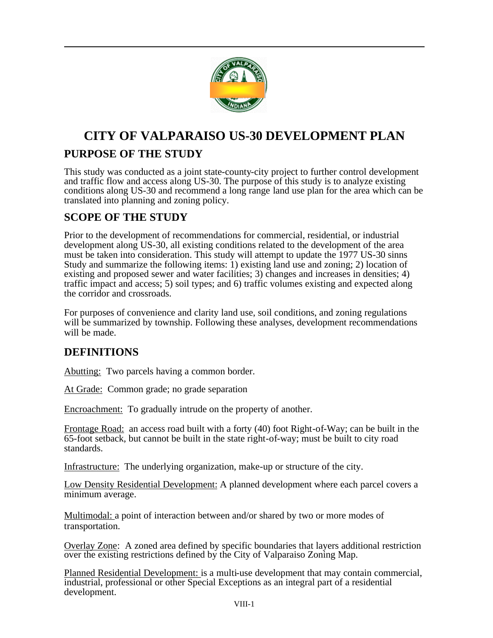

# **CITY OF VALPARAISO US-30 DEVELOPMENT PLAN PURPOSE OF THE STUDY**

This study was conducted as a joint state-county-city project to further control development and traffic flow and access along US-30. The purpose of this study is to analyze existing conditions along US-30 and recommend a long range land use plan for the area which can be translated into planning and zoning policy.

#### **SCOPE OF THE STUDY**

Prior to the development of recommendations for commercial, residential, or industrial development along US-30, all existing conditions related to the development of the area must be taken into consideration. This study will attempt to update the 1977 US-30 sinns Study and summarize the following items: 1) existing land use and zoning; 2) location of existing and proposed sewer and water facilities; 3) changes and increases in densities; 4) traffic impact and access; 5) soil types; and 6) traffic volumes existing and expected along the corridor and crossroads.

For purposes of convenience and clarity land use, soil conditions, and zoning regulations will be summarized by township. Following these analyses, development recommendations will be made.

#### **DEFINITIONS**

Abutting: Two parcels having a common border.

At Grade: Common grade; no grade separation

Encroachment: To gradually intrude on the property of another.

Frontage Road: an access road built with a forty (40) foot Right-of-Way; can be built in the 65-foot setback, but cannot be built in the state right-of-way; must be built to city road standards.

Infrastructure: The underlying organization, make-up or structure of the city.

Low Density Residential Development: A planned development where each parcel covers a minimum average.

Multimodal: a point of interaction between and/or shared by two or more modes of transportation.

Overlay Zone: A zoned area defined by specific boundaries that layers additional restriction over the existing restrictions defined by the City of Valparaiso Zoning Map.

Planned Residential Development: is a multi-use development that may contain commercial, industrial, professional or other Special Exceptions as an integral part of a residential development.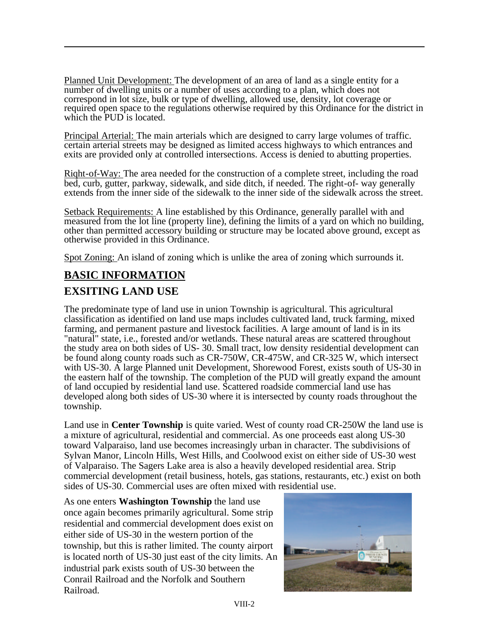Planned Unit Development: The development of an area of land as a single entity for a number of dwelling units or a number of uses according to a plan, which does not correspond in lot size, bulk or type of dwelling, allowed use, density, lot coverage or required open space to the regulations otherwise required by this Ordinance for the district in which the PUD is located.

Principal Arterial: The main arterials which are designed to carry large volumes of traffic. certain arterial streets may be designed as limited access highways to which entrances and exits are provided only at controlled intersections. Access is denied to abutting properties.

Riqht-of-Way: The area needed for the construction of a complete street, including the road bed, curb, gutter, parkway, sidewalk, and side ditch, if needed. The right-of- way generally extends from the inner side of the sidewalk to the inner side of the sidewalk across the street.

Setback Requirements: A line established by this Ordinance, generally parallel with and measured from the lot line (property line), defining the limits of a yard on which no building, other than permitted accessory building or structure may be located above ground, except as otherwise provided in this Ordinance.

Spot Zoning: An island of zoning which is unlike the area of zoning which surrounds it.

# **BASIC INFORMATION**

#### **EXSITING LAND USE**

The predominate type of land use in union Township is agricultural. This agricultural classification as identified on land use maps includes cultivated land, truck farming, mixed farming, and permanent pasture and livestock facilities. A large amount of land is in its "natural" state, i.e., forested and/or wetlands. These natural areas are scattered throughout the study area on both sides of US- 30. Small tract, low density residential development can be found along county roads such as CR-750W, CR-475W, and CR-325 W, which intersect with US-30. A large Planned unit Development, Shorewood Forest, exists south of US-30 in the eastern half of the township. The completion of the PUD will greatly expand the amount of land occupied by residential land use. Scattered roadside commercial land use has developed along both sides of US-30 where it is intersected by county roads throughout the township.

Land use in **Center Township** is quite varied. West of county road CR-250W the land use is a mixture of agricultural, residential and commercial. As one proceeds east along US-30 toward Valparaiso, land use becomes increasingly urban in character. The subdivisions of Sylvan Manor, Lincoln Hills, West Hills, and Coolwood exist on either side of US-30 west of Valparaiso. The Sagers Lake area is also a heavily developed residential area. Strip commercial development (retail business, hotels, gas stations, restaurants, etc.) exist on both sides of US-30. Commercial uses are often mixed with residential use.

As one enters **Washington Township** the land use once again becomes primarily agricultural. Some strip residential and commercial development does exist on either side of US-30 in the western portion of the township, but this is rather limited. The county airport is located north of US-30 just east of the city limits. An industrial park exists south of US-30 between the Conrail Railroad and the Norfolk and Southern Railroad.

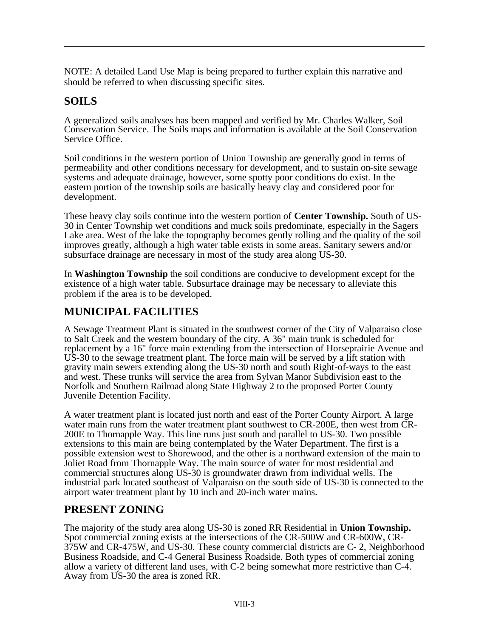NOTE: A detailed Land Use Map is being prepared to further explain this narrative and should be referred to when discussing specific sites.

#### **SOILS**

A generalized soils analyses has been mapped and verified by Mr. Charles Walker, Soil Conservation Service. The Soils maps and information is available at the Soil Conservation Service Office.

Soil conditions in the western portion of Union Township are generally good in terms of permeability and other conditions necessary for development, and to sustain on-site sewage systems and adequate drainage, however, some spotty poor conditions do exist. In the eastern portion of the township soils are basically heavy clay and considered poor for development.

These heavy clay soils continue into the western portion of **Center Township.** South of US-30 in Center Township wet conditions and muck soils predominate, especially in the Sagers Lake area. West of the lake the topography becomes gently rolling and the quality of the soil improves greatly, although a high water table exists in some areas. Sanitary sewers and/or subsurface drainage are necessary in most of the study area along US-30.

In **Washington Township** the soil conditions are conducive to development except for the existence of a high water table. Subsurface drainage may be necessary to alleviate this problem if the area is to be developed.

#### **MUNICIPAL FACILITIES**

A Sewage Treatment Plant is situated in the southwest corner of the City of Valparaiso close to Salt Creek and the western boundary of the city. A 36" main trunk is scheduled for replacement by a 16" force main extending from the intersection of Horseprairie Avenue and US-30 to the sewage treatment plant. The force main will be served by a lift station with gravity main sewers extending along the US-30 north and south Right-of-ways to the east and west. These trunks will service the area from Sylvan Manor Subdivision east to the Norfolk and Southern Railroad along State Highway 2 to the proposed Porter County Juvenile Detention Facility.

A water treatment plant is located just north and east of the Porter County Airport. A large water main runs from the water treatment plant southwest to CR-200E, then west from CR-200E to Thornapple Way. This line runs just south and parallel to US-30. Two possible extensions to this main are being contemplated by the Water Department. The first is a possible extension west to Shorewood, and the other is a northward extension of the main to Joliet Road from Thornapple Way. The main source of water for most residential and commercial structures along US-30 is groundwater drawn from individual wells. The industrial park located southeast of Valparaiso on the south side of US-30 is connected to the airport water treatment plant by 10 inch and 20-inch water mains.

#### **PRESENT ZONING**

The majority of the study area along US-30 is zoned RR Residential in **Union Township.**  Spot commercial zoning exists at the intersections of the CR-500W and CR-600W, CR-375W and CR-475W, and US-30. These county commercial districts are C- 2, Neighborhood Business Roadside, and C-4 General Business Roadside. Both types of commercial zoning allow a variety of different land uses, with C-2 being somewhat more restrictive than C-4. Away from US-30 the area is zoned RR.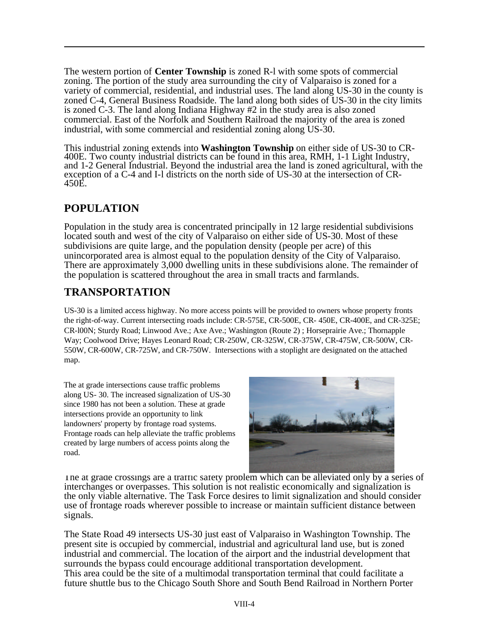The western portion of **Center Township** is zoned R-l with some spots of commercial zoning. The portion of the study area surrounding the city of Valparaiso is zoned for a variety of commercial, residential, and industrial uses. The land along US-30 in the county is zoned C-4, General Business Roadside. The land along both sides of US-30 in the city limits is zoned C-3. The land along Indiana Highway #2 in the study area is also zoned commercial. East of the Norfolk and Southern Railroad the majority of the area is zoned industrial, with some commercial and residential zoning along US-30.

This industrial zoning extends into **Washington Township** on either side of US-30 to CR-400E. Two county industrial districts can be found in this area, RMH, 1-1 Light Industry, and 1-2 General Industrial. Beyond the industrial area the land is zoned agricultural, with the exception of a C-4 and I-l districts on the north side of US-30 at the intersection of CR-450E.

#### **POPULATION**

Population in the study area is concentrated principally in 12 large residential subdivisions located south and west of the city of Valparaiso on either side of US-30. Most of these subdivisions are quite large, and the population density (people per acre) of this unincorporated area is almost equal to the population density of the City of Valparaiso. There are approximately 3,000 dwelling units in these subdivisions alone. The remainder of the population is scattered throughout the area in small tracts and farmlands.

#### **TRANSPORTATION**

US-30 is a limited access highway. No more access points will be provided to owners whose property fronts the right-of-way. Current intersecting roads include: CR-575E, CR-500E, CR- 450E, CR-400E, and CR-325E; CR-l00N; Sturdy Road; Linwood Ave.; Axe Ave.; Washington (Route 2) ; Horseprairie Ave.; Thornapple Way; Coolwood Drive; Hayes Leonard Road; CR-250W, CR-325W, CR-375W, CR-475W, CR-500W, CR-550W, CR-600W, CR-725W, and CR-750W. Intersections with a stoplight are designated on the attached map.

The at grade intersections cause traffic problems along US- 30. The increased signalization of US-30 since 1980 has not been a solution. These at grade intersections provide an opportunity to link landowners' property by frontage road systems. Frontage roads can help alleviate the traffic problems created by large numbers of access points along the road.



The at grade crossings are a traffic safety problem which can be alleviated only by a series of interchanges or overpasses. This solution is not realistic economically and signalization is the only viable alternative. The Task Force desires to limit signalization and should consider use of frontage roads wherever possible to increase or maintain sufficient distance between signals.

The State Road 49 intersects US-30 just east of Valparaiso in Washington Township. The present site is occupied by commercial, industrial and agricultural land use, but is zoned industrial and commercial. The location of the airport and the industrial development that surrounds the bypass could encourage additional transportation development. This area could be the site of a multimodal transportation terminal that could facilitate a future shuttle bus to the Chicago South Shore and South Bend Railroad in Northern Porter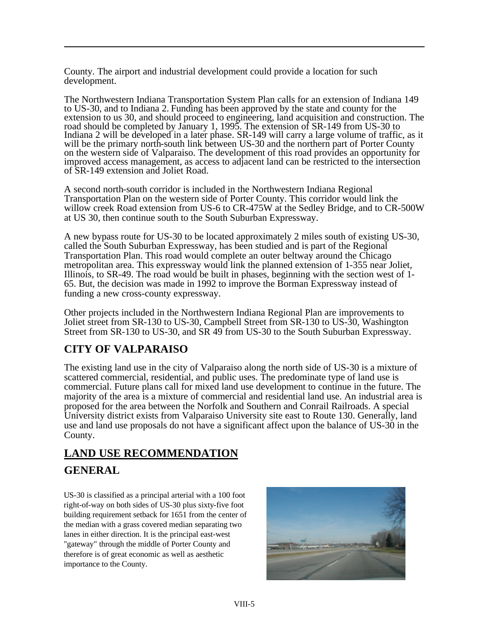County. The airport and industrial development could provide a location for such development.

The Northwestern Indiana Transportation System Plan calls for an extension of Indiana 149 to US-30, and to Indiana 2. Funding has been approved by the state and county for the extension to us 30, and should proceed to engineering, land acquisition and construction. The road should be completed by January 1, 1995. The extension of SR-149 from US-30 to Indiana 2 will be developed in a later phase. SR-149 will carry a large volume of traffic, as it will be the primary north-south link between US-30 and the northern part of Porter County on the western side of Valparaiso. The development of this road provides an opportunity for improved access management, as access to adjacent land can be restricted to the intersection of SR-149 extension and Joliet Road.

A second north-south corridor is included in the Northwestern Indiana Regional Transportation Plan on the western side of Porter County. This corridor would link the willow creek Road extension from US-6 to CR-475W at the Sedley Bridge, and to CR-500W at US 30, then continue south to the South Suburban Expressway.

A new bypass route for US-30 to be located approximately 2 miles south of existing US-30, called the South Suburban Expressway, has been studied and is part of the Regional Transportation Plan. This road would complete an outer beltway around the Chicago metropolitan area. This expressway would link the planned extension of 1-355 near Joliet, Illinois, to SR-49. The road would be built in phases, beginning with the section west of 1- 65. But, the decision was made in 1992 to improve the Borman Expressway instead of funding a new cross-county expressway.

Other projects included in the Northwestern Indiana Regional Plan are improvements to Joliet street from SR-130 to US-30, Campbell Street from SR-130 to US-30, Washington Street from SR-130 to US-30, and SR 49 from US-30 to the South Suburban Expressway.

## **CITY OF VALPARAISO**

The existing land use in the city of Valparaiso along the north side of US-30 is a mixture of scattered commercial, residential, and public uses. The predominate type of land use is commercial. Future plans call for mixed land use development to continue in the future. The majority of the area is a mixture of commercial and residential land use. An industrial area is proposed for the area between the Norfolk and Southern and Conrail Railroads. A special University district exists from Valparaiso University site east to Route 130. Generally, land use and land use proposals do not have a significant affect upon the balance of US-30 in the County.

# **LAND USE RECOMMENDATION GENERAL**

US-30 is classified as a principal arterial with a 100 foot right-of-way on both sides of US-30 plus sixty-five foot building requirement setback for 1651 from the center of the median with a grass covered median separating two lanes in either direction. It is the principal east-west "gateway" through the middle of Porter County and therefore is of great economic as well as aesthetic importance to the County.

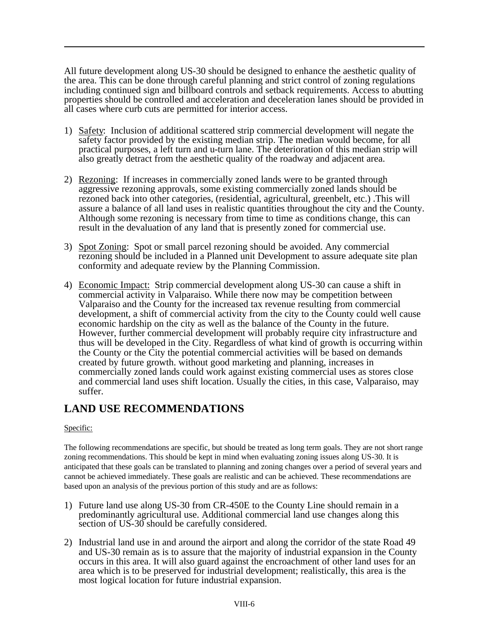All future development along US-30 should be designed to enhance the aesthetic quality of the area. This can be done through careful planning and strict control of zoning regulations including continued sign and billboard controls and setback requirements. Access to abutting properties should be controlled and acceleration and deceleration lanes should be provided in all cases where curb cuts are permitted for interior access.

- 1) Safety: Inclusion of additional scattered strip commercial development will negate the safety factor provided by the existing median strip. The median would become, for all practical purposes, a left turn and u-turn lane. The deterioration of this median strip will also greatly detract from the aesthetic quality of the roadway and adjacent area.
- 2) Rezoning: If increases in commercially zoned lands were to be granted through aggressive rezoning approvals, some existing commercially zoned lands should be rezoned back into other categories, (residential, agricultural, greenbelt, etc.) .This will assure a balance of all land uses in realistic quantities throughout the city and the County. Although some rezoning is necessary from time to time as conditions change, this can result in the devaluation of any land that is presently zoned for commercial use.
- 3) Spot Zoning: Spot or small parcel rezoning should be avoided. Any commercial rezoning should be included in a Planned unit Development to assure adequate site plan conformity and adequate review by the Planning Commission.
- 4) Economic Impact: Strip commercial development along US-30 can cause a shift in commercial activity in Valparaiso. While there now may be competition between Valparaiso and the County for the increased tax revenue resulting from commercial development, a shift of commercial activity from the city to the County could well cause economic hardship on the city as well as the balance of the County in the future. However, further commercial development will probably require city infrastructure and thus will be developed in the City. Regardless of what kind of growth is occurring within the County or the City the potential commercial activities will be based on demands created by future growth. without good marketing and planning, increases in commercially zoned lands could work against existing commercial uses as stores close and commercial land uses shift location. Usually the cities, in this case, Valparaiso, may suffer.

#### **LAND USE RECOMMENDATIONS**

#### Specific:

The following recommendations are specific, but should be treated as long term goals. They are not short range zoning recommendations. This should be kept in mind when evaluating zoning issues along US-30. It is anticipated that these goals can be translated to planning and zoning changes over a period of several years and cannot be achieved immediately. These goals are realistic and can be achieved. These recommendations are based upon an analysis of the previous portion of this study and are as follows:

- 1) Future land use along US-30 from CR-450E to the County Line should remain in a predominantly agricultural use. Additional commercial land use changes along this section of US-30 should be carefully considered.
- 2) Industrial land use in and around the airport and along the corridor of the state Road 49 and US-30 remain as is to assure that the majority of industrial expansion in the County occurs in this area. It will also guard against the encroachment of other land uses for an area which is to be preserved for industrial development; realistically, this area is the most logical location for future industrial expansion.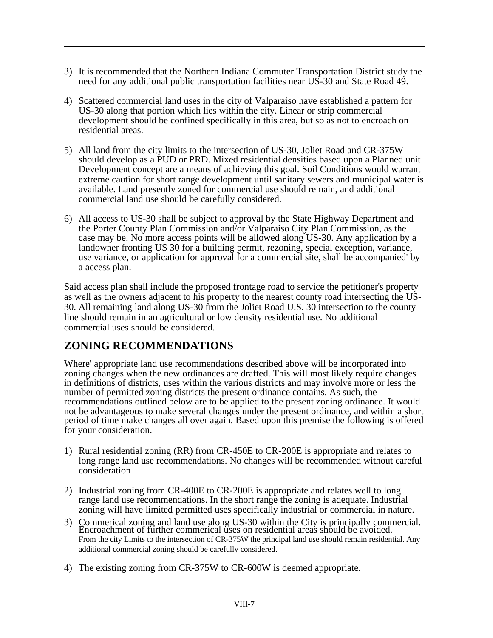- 3) It is recommended that the Northern Indiana Commuter Transportation District study the need for any additional public transportation facilities near US-30 and State Road 49.
- 4) Scattered commercial land uses in the city of Valparaiso have established a pattern for US-30 along that portion which lies within the city. Linear or strip commercial development should be confined specifically in this area, but so as not to encroach on residential areas.
- 5) All land from the city limits to the intersection of US-30, Joliet Road and CR-375W should develop as a PUD or PRD. Mixed residential densities based upon a Planned unit Development concept are a means of achieving this goal. Soil Conditions would warrant extreme caution for short range development until sanitary sewers and municipal water is available. Land presently zoned for commercial use should remain, and additional commercial land use should be carefully considered.
- 6) All access to US-30 shall be subject to approval by the State Highway Department and the Porter County Plan Commission and/or Valparaiso City Plan Commission, as the case may be. No more access points will be allowed along US-30. Any application by a landowner fronting US 30 for a building permit, rezoning, special exception, variance, use variance, or application for approval for a commercial site, shall be accompanied' by a access plan.

Said access plan shall include the proposed frontage road to service the petitioner's property as well as the owners adjacent to his property to the nearest county road intersecting the US-30. All remaining land along US-30 from the Joliet Road U.S. 30 intersection to the county line should remain in an agricultural or low density residential use. No additional commercial uses should be considered.

#### **ZONING RECOMMENDATIONS**

Where' appropriate land use recommendations described above will be incorporated into zoning changes when the new ordinances are drafted. This will most likely require changes in definitions of districts, uses within the various districts and may involve more or less the number of permitted zoning districts the present ordinance contains. As such, the recommendations outlined below are to be applied to the present zoning ordinance. It would not be advantageous to make several changes under the present ordinance, and within a short period of time make changes all over again. Based upon this premise the following is offered for your consideration.

- 1) Rural residential zoning (RR) from CR-450E to CR-200E is appropriate and relates to long range land use recommendations. No changes will be recommended without careful consideration
- 2) Industrial zoning from CR-400E to CR-200E is appropriate and relates well to long range land use recommendations. In the short range the zoning is adequate. Industrial zoning will have limited permitted uses specifically industrial or commercial in nature.
- 3) Commerical zoning and land use along US-30 within the City is principally commercial. Encroachment of further commerical uses on residential areas should be avoided. From the city Limits to the intersection of CR-375W the principal land use should remain residential. Any additional commercial zoning should be carefully considered.
- 4) The existing zoning from CR-375W to CR-600W is deemed appropriate.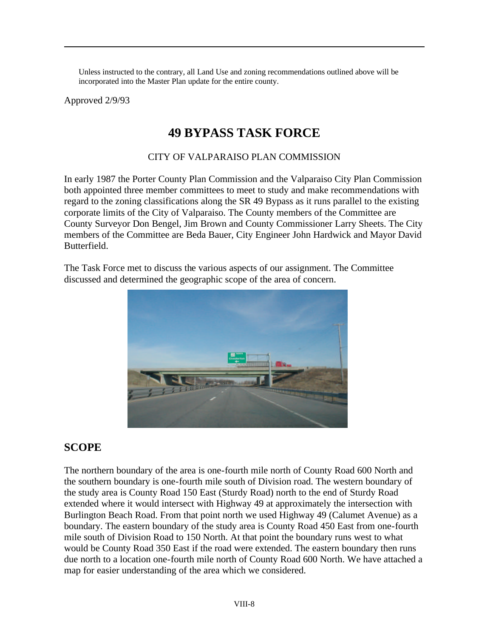Unless instructed to the contrary, all Land Use and zoning recommendations outlined above will be incorporated into the Master Plan update for the entire county.

Approved 2/9/93

## **49 BYPASS TASK FORCE**

#### CITY OF VALPARAISO PLAN COMMISSION

In early 1987 the Porter County Plan Commission and the Valparaiso City Plan Commission both appointed three member committees to meet to study and make recommendations with regard to the zoning classifications along the SR 49 Bypass as it runs parallel to the existing corporate limits of the City of Valparaiso. The County members of the Committee are County Surveyor Don Bengel, Jim Brown and County Commissioner Larry Sheets. The City members of the Committee are Beda Bauer, City Engineer John Hardwick and Mayor David Butterfield.

The Task Force met to discuss the various aspects of our assignment. The Committee discussed and determined the geographic scope of the area of concern.



#### **SCOPE**

The northern boundary of the area is one-fourth mile north of County Road 600 North and the southern boundary is one-fourth mile south of Division road. The western boundary of the study area is County Road 150 East (Sturdy Road) north to the end of Sturdy Road extended where it would intersect with Highway 49 at approximately the intersection with Burlington Beach Road. From that point north we used Highway 49 (Calumet Avenue) as a boundary. The eastern boundary of the study area is County Road 450 East from one-fourth mile south of Division Road to 150 North. At that point the boundary runs west to what would be County Road 350 East if the road were extended. The eastern boundary then runs due north to a location one-fourth mile north of County Road 600 North. We have attached a map for easier understanding of the area which we considered.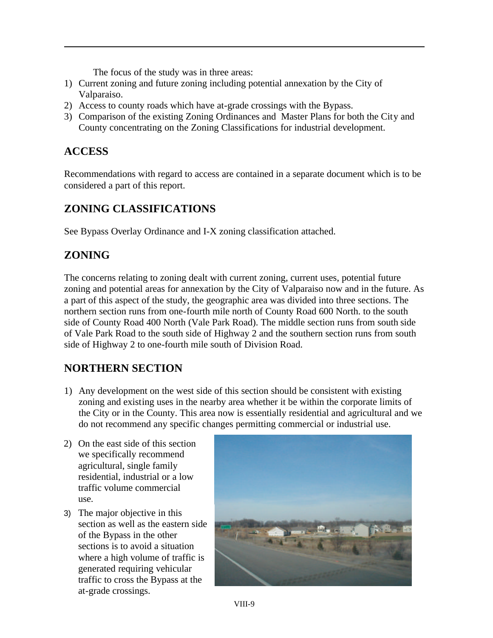The focus of the study was in three areas:

- 1) Current zoning and future zoning including potential annexation by the City of Valparaiso.
- 2) Access to county roads which have at-grade crossings with the Bypass.
- 3) Comparison of the existing Zoning Ordinances and Master Plans for both the City and County concentrating on the Zoning Classifications for industrial development.

#### **ACCESS**

Recommendations with regard to access are contained in a separate document which is to be considered a part of this report.

## **ZONING CLASSIFICATIONS**

See Bypass Overlay Ordinance and I-X zoning classification attached.

#### **ZONING**

The concerns relating to zoning dealt with current zoning, current uses, potential future zoning and potential areas for annexation by the City of Valparaiso now and in the future. As a part of this aspect of the study, the geographic area was divided into three sections. The northern section runs from one-fourth mile north of County Road 600 North. to the south side of County Road 400 North (Vale Park Road). The middle section runs from south side of Vale Park Road to the south side of Highway 2 and the southern section runs from south side of Highway 2 to one-fourth mile south of Division Road.

## **NORTHERN SECTION**

- 1) Any development on the west side of this section should be consistent with existing zoning and existing uses in the nearby area whether it be within the corporate limits of the City or in the County. This area now is essentially residential and agricultural and we do not recommend any specific changes permitting commercial or industrial use.
- 2) On the east side of this section we specifically recommend agricultural, single family residential, industrial or a low traffic volume commercial use.
- 3) The major objective in this section as well as the eastern side of the Bypass in the other sections is to avoid a situation where a high volume of traffic is generated requiring vehicular traffic to cross the Bypass at the at-grade crossings.

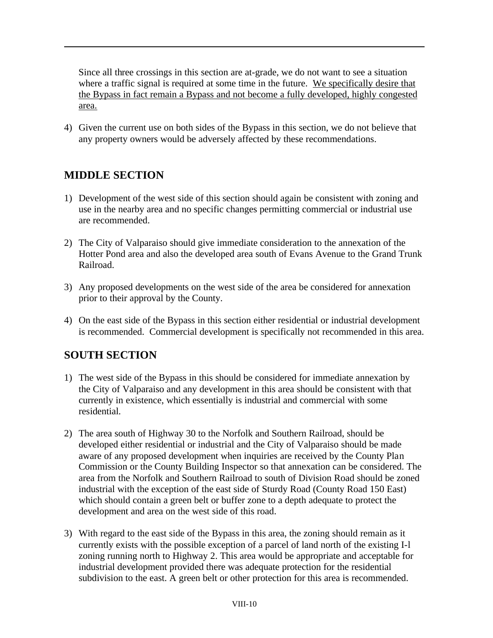Since all three crossings in this section are at-grade, we do not want to see a situation where a traffic signal is required at some time in the future. We specifically desire that the Bypass in fact remain a Bypass and not become a fully developed, highly congested area.

4) Given the current use on both sides of the Bypass in this section, we do not believe that any property owners would be adversely affected by these recommendations.

#### **MIDDLE SECTION**

- 1) Development of the west side of this section should again be consistent with zoning and use in the nearby area and no specific changes permitting commercial or industrial use are recommended.
- 2) The City of Valparaiso should give immediate consideration to the annexation of the Hotter Pond area and also the developed area south of Evans Avenue to the Grand Trunk Railroad.
- 3) Any proposed developments on the west side of the area be considered for annexation prior to their approval by the County.
- 4) On the east side of the Bypass in this section either residential or industrial development is recommended. Commercial development is specifically not recommended in this area.

#### **SOUTH SECTION**

- 1) The west side of the Bypass in this should be considered for immediate annexation by the City of Valparaiso and any development in this area should be consistent with that currently in existence, which essentially is industrial and commercial with some residential.
- 2) The area south of Highway 30 to the Norfolk and Southern Railroad, should be developed either residential or industrial and the City of Valparaiso should be made aware of any proposed development when inquiries are received by the County Plan Commission or the County Building Inspector so that annexation can be considered. The area from the Norfolk and Southern Railroad to south of Division Road should be zoned industrial with the exception of the east side of Sturdy Road (County Road 150 East) which should contain a green belt or buffer zone to a depth adequate to protect the development and area on the west side of this road.
- 3) With regard to the east side of the Bypass in this area, the zoning should remain as it currently exists with the possible exception of a parcel of land north of the existing I-l zoning running north to Highway 2. This area would be appropriate and acceptable for industrial development provided there was adequate protection for the residential subdivision to the east. A green belt or other protection for this area is recommended.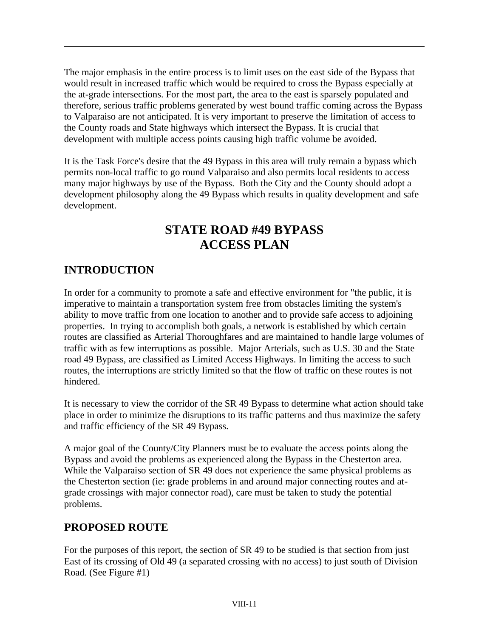The major emphasis in the entire process is to limit uses on the east side of the Bypass that would result in increased traffic which would be required to cross the Bypass especially at the at-grade intersections. For the most part, the area to the east is sparsely populated and therefore, serious traffic problems generated by west bound traffic coming across the Bypass to Valparaiso are not anticipated. It is very important to preserve the limitation of access to the County roads and State highways which intersect the Bypass. It is crucial that development with multiple access points causing high traffic volume be avoided.

It is the Task Force's desire that the 49 Bypass in this area will truly remain a bypass which permits non-local traffic to go round Valparaiso and also permits local residents to access many major highways by use of the Bypass. Both the City and the County should adopt a development philosophy along the 49 Bypass which results in quality development and safe development.

# **STATE ROAD #49 BYPASS ACCESS PLAN**

#### **INTRODUCTION**

In order for a community to promote a safe and effective environment for "the public, it is imperative to maintain a transportation system free from obstacles limiting the system's ability to move traffic from one location to another and to provide safe access to adjoining properties. In trying to accomplish both goals, a network is established by which certain routes are classified as Arterial Thoroughfares and are maintained to handle large volumes of traffic with as few interruptions as possible. Major Arterials, such as U.S. 30 and the State road 49 Bypass, are classified as Limited Access Highways. In limiting the access to such routes, the interruptions are strictly limited so that the flow of traffic on these routes is not hindered.

It is necessary to view the corridor of the SR 49 Bypass to determine what action should take place in order to minimize the disruptions to its traffic patterns and thus maximize the safety and traffic efficiency of the SR 49 Bypass.

A major goal of the County/City Planners must be to evaluate the access points along the Bypass and avoid the problems as experienced along the Bypass in the Chesterton area. While the Valparaiso section of SR 49 does not experience the same physical problems as the Chesterton section (ie: grade problems in and around major connecting routes and atgrade crossings with major connector road), care must be taken to study the potential problems.

#### **PROPOSED ROUTE**

For the purposes of this report, the section of SR 49 to be studied is that section from just East of its crossing of Old 49 (a separated crossing with no access) to just south of Division Road. (See Figure #1)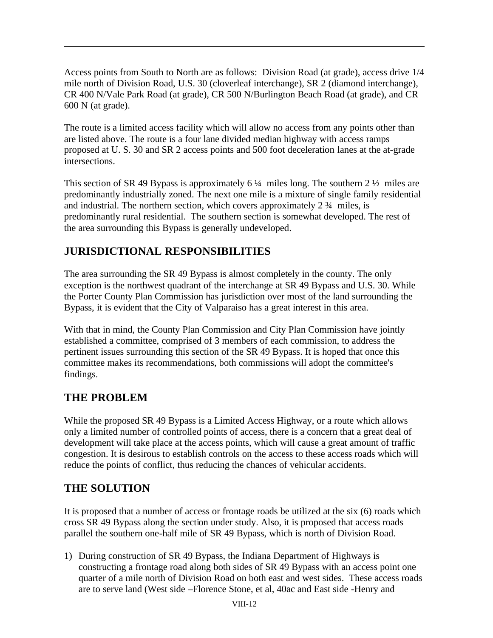Access points from South to North are as follows: Division Road (at grade), access drive 1/4 mile north of Division Road, U.S. 30 (cloverleaf interchange), SR 2 (diamond interchange), CR 400 N/Vale Park Road (at grade), CR 500 N/Burlington Beach Road (at grade), and CR 600 N (at grade).

The route is a limited access facility which will allow no access from any points other than are listed above. The route is a four lane divided median highway with access ramps proposed at U. S. 30 and SR 2 access points and 500 foot deceleration lanes at the at-grade intersections.

This section of SR 49 Bypass is approximately 6  $\frac{1}{4}$  miles long. The southern 2  $\frac{1}{2}$  miles are predominantly industrially zoned. The next one mile is a mixture of single family residential and industrial. The northern section, which covers approximately  $2\frac{3}{4}$  miles, is predominantly rural residential. The southern section is somewhat developed. The rest of the area surrounding this Bypass is generally undeveloped.

#### **JURISDICTIONAL RESPONSIBILITIES**

The area surrounding the SR 49 Bypass is almost completely in the county. The only exception is the northwest quadrant of the interchange at SR 49 Bypass and U.S. 30. While the Porter County Plan Commission has jurisdiction over most of the land surrounding the Bypass, it is evident that the City of Valparaiso has a great interest in this area.

With that in mind, the County Plan Commission and City Plan Commission have jointly established a committee, comprised of 3 members of each commission, to address the pertinent issues surrounding this section of the SR 49 Bypass. It is hoped that once this committee makes its recommendations, both commissions will adopt the committee's findings.

## **THE PROBLEM**

While the proposed SR 49 Bypass is a Limited Access Highway, or a route which allows only a limited number of controlled points of access, there is a concern that a great deal of development will take place at the access points, which will cause a great amount of traffic congestion. It is desirous to establish controls on the access to these access roads which will reduce the points of conflict, thus reducing the chances of vehicular accidents.

#### **THE SOLUTION**

It is proposed that a number of access or frontage roads be utilized at the six (6) roads which cross SR 49 Bypass along the section under study. Also, it is proposed that access roads parallel the southern one-half mile of SR 49 Bypass, which is north of Division Road.

1) During construction of SR 49 Bypass, the Indiana Department of Highways is constructing a frontage road along both sides of SR 49 Bypass with an access point one quarter of a mile north of Division Road on both east and west sides. These access roads are to serve land (West side –Florence Stone, et al, 40ac and East side -Henry and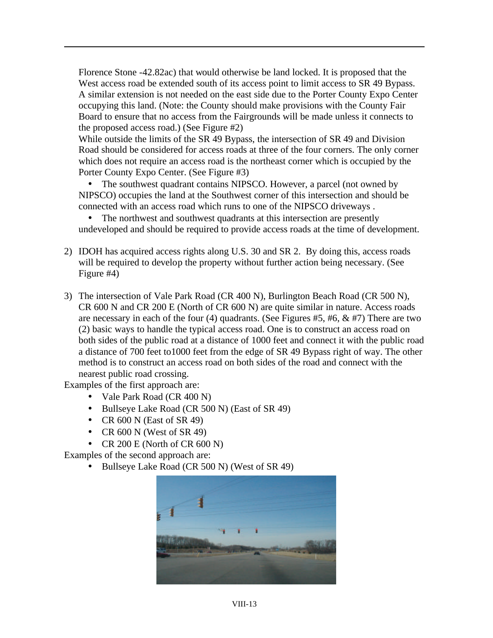Florence Stone -42.82ac) that would otherwise be land locked. It is proposed that the West access road be extended south of its access point to limit access to SR 49 Bypass. A similar extension is not needed on the east side due to the Porter County Expo Center occupying this land. (Note: the County should make provisions with the County Fair Board to ensure that no access from the Fairgrounds will be made unless it connects to the proposed access road.) (See Figure #2)

While outside the limits of the SR 49 Bypass, the intersection of SR 49 and Division Road should be considered for access roads at three of the four corners. The only corner which does not require an access road is the northeast corner which is occupied by the Porter County Expo Center. (See Figure #3)

• The southwest quadrant contains NIPSCO. However, a parcel (not owned by NIPSCO) occupies the land at the Southwest corner of this intersection and should be connected with an access road which runs to one of the NIPSCO driveways .

• The northwest and southwest quadrants at this intersection are presently undeveloped and should be required to provide access roads at the time of development.

- 2) IDOH has acquired access rights along U.S. 30 and SR 2. By doing this, access roads will be required to develop the property without further action being necessary. (See Figure #4)
- 3) The intersection of Vale Park Road (CR 400 N), Burlington Beach Road (CR 500 N), CR 600 N and CR 200 E (North of CR 600 N) are quite similar in nature. Access roads are necessary in each of the four (4) quadrants. (See Figures  $#5, #6, \& #7$ ) There are two (2) basic ways to handle the typical access road. One is to construct an access road on both sides of the public road at a distance of 1000 feet and connect it with the public road a distance of 700 feet to1000 feet from the edge of SR 49 Bypass right of way. The other method is to construct an access road on both sides of the road and connect with the nearest public road crossing.

Examples of the first approach are:

- Vale Park Road (CR 400 N)
- Bullseye Lake Road (CR 500 N) (East of SR 49)
- CR  $600$  N (East of SR 49)
- CR 600 N (West of SR 49)
- CR 200 E (North of CR 600 N)

Examples of the second approach are:

• Bullseye Lake Road (CR 500 N) (West of SR 49)

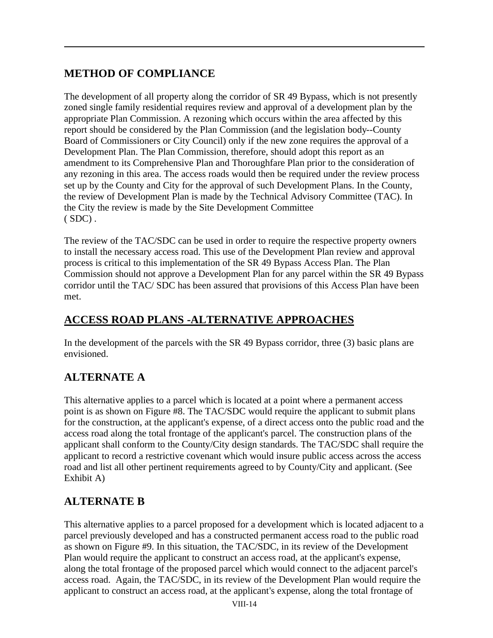#### **METHOD OF COMPLIANCE**

The development of all property along the corridor of SR 49 Bypass, which is not presently zoned single family residential requires review and approval of a development plan by the appropriate Plan Commission. A rezoning which occurs within the area affected by this report should be considered by the Plan Commission (and the legislation body--County Board of Commissioners or City Council) only if the new zone requires the approval of a Development Plan. The Plan Commission, therefore, should adopt this report as an amendment to its Comprehensive Plan and Thoroughfare Plan prior to the consideration of any rezoning in this area. The access roads would then be required under the review process set up by the County and City for the approval of such Development Plans. In the County, the review of Development Plan is made by the Technical Advisory Committee (TAC). In the City the review is made by the Site Development Committee  $(SDC)$ .

The review of the TAC/SDC can be used in order to require the respective property owners to install the necessary access road. This use of the Development Plan review and approval process is critical to this implementation of the SR 49 Bypass Access Plan. The Plan Commission should not approve a Development Plan for any parcel within the SR 49 Bypass corridor until the TAC/ SDC has been assured that provisions of this Access Plan have been met.

## **ACCESS ROAD PLANS -ALTERNATIVE APPROACHES**

In the development of the parcels with the SR 49 Bypass corridor, three (3) basic plans are envisioned.

## **ALTERNATE A**

This alternative applies to a parcel which is located at a point where a permanent access point is as shown on Figure #8. The TAC/SDC would require the applicant to submit plans for the construction, at the applicant's expense, of a direct access onto the public road and the access road along the total frontage of the applicant's parcel. The construction plans of the applicant shall conform to the County/City design standards. The TAC/SDC shall require the applicant to record a restrictive covenant which would insure public access across the access road and list all other pertinent requirements agreed to by County/City and applicant. (See Exhibit A)

#### **ALTERNATE B**

This alternative applies to a parcel proposed for a development which is located adjacent to a parcel previously developed and has a constructed permanent access road to the public road as shown on Figure #9. In this situation, the TAC/SDC, in its review of the Development Plan would require the applicant to construct an access road, at the applicant's expense, along the total frontage of the proposed parcel which would connect to the adjacent parcel's access road. Again, the TAC/SDC, in its review of the Development Plan would require the applicant to construct an access road, at the applicant's expense, along the total frontage of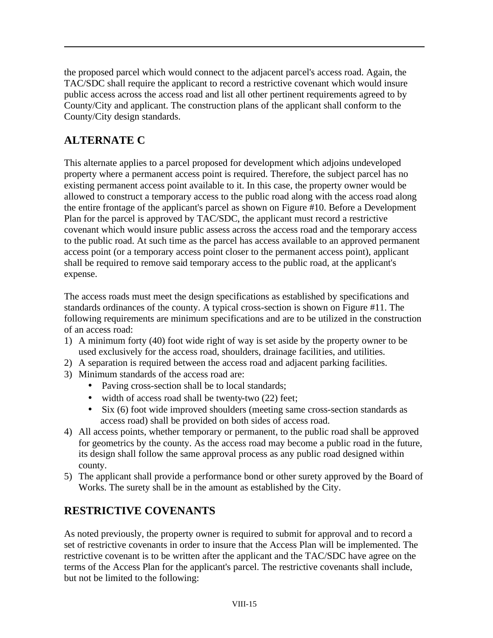the proposed parcel which would connect to the adjacent parcel's access road. Again, the TAC/SDC shall require the applicant to record a restrictive covenant which would insure public access across the access road and list all other pertinent requirements agreed to by County/City and applicant. The construction plans of the applicant shall conform to the County/City design standards.

#### **ALTERNATE C**

This alternate applies to a parcel proposed for development which adjoins undeveloped property where a permanent access point is required. Therefore, the subject parcel has no existing permanent access point available to it. In this case, the property owner would be allowed to construct a temporary access to the public road along with the access road along the entire frontage of the applicant's parcel as shown on Figure #10. Before a Development Plan for the parcel is approved by TAC/SDC, the applicant must record a restrictive covenant which would insure public assess across the access road and the temporary access to the public road. At such time as the parcel has access available to an approved permanent access point (or a temporary access point closer to the permanent access point), applicant shall be required to remove said temporary access to the public road, at the applicant's expense.

The access roads must meet the design specifications as established by specifications and standards ordinances of the county. A typical cross-section is shown on Figure #11. The following requirements are minimum specifications and are to be utilized in the construction of an access road:

- 1) A minimum forty (40) foot wide right of way is set aside by the property owner to be used exclusively for the access road, shoulders, drainage facilities, and utilities.
- 2) A separation is required between the access road and adjacent parking facilities.
- 3) Minimum standards of the access road are:
	- Paving cross-section shall be to local standards;
	- width of access road shall be twenty-two (22) feet;
	- Six (6) foot wide improved shoulders (meeting same cross-section standards as access road) shall be provided on both sides of access road.
- 4) All access points, whether temporary or permanent, to the public road shall be approved for geometrics by the county. As the access road may become a public road in the future, its design shall follow the same approval process as any public road designed within county.
- 5) The applicant shall provide a performance bond or other surety approved by the Board of Works. The surety shall be in the amount as established by the City.

#### **RESTRICTIVE COVENANTS**

As noted previously, the property owner is required to submit for approval and to record a set of restrictive covenants in order to insure that the Access Plan will be implemented. The restrictive covenant is to be written after the applicant and the TAC/SDC have agree on the terms of the Access Plan for the applicant's parcel. The restrictive covenants shall include, but not be limited to the following: